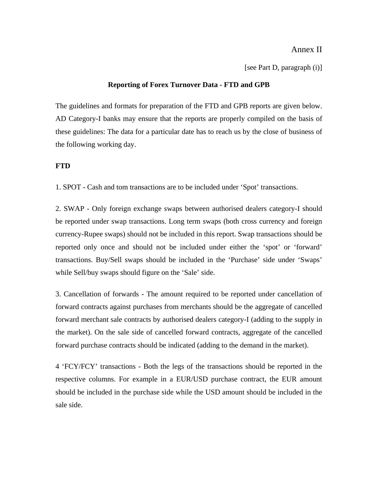### Annex II

[see Part D, paragraph (i)]

#### **Reporting of Forex Turnover Data - FTD and GPB**

The guidelines and formats for preparation of the FTD and GPB reports are given below. AD Category-I banks may ensure that the reports are properly compiled on the basis of these guidelines: The data for a particular date has to reach us by the close of business of the following working day.

#### **FTD**

1. SPOT - Cash and tom transactions are to be included under 'Spot' transactions.

2. SWAP - Only foreign exchange swaps between authorised dealers category-I should be reported under swap transactions. Long term swaps (both cross currency and foreign currency-Rupee swaps) should not be included in this report. Swap transactions should be reported only once and should not be included under either the 'spot' or 'forward' transactions. Buy/Sell swaps should be included in the 'Purchase' side under 'Swaps' while Sell/buy swaps should figure on the 'Sale' side.

3. Cancellation of forwards - The amount required to be reported under cancellation of forward contracts against purchases from merchants should be the aggregate of cancelled forward merchant sale contracts by authorised dealers category-I (adding to the supply in the market). On the sale side of cancelled forward contracts, aggregate of the cancelled forward purchase contracts should be indicated (adding to the demand in the market).

4 'FCY/FCY' transactions - Both the legs of the transactions should be reported in the respective columns. For example in a EUR/USD purchase contract, the EUR amount should be included in the purchase side while the USD amount should be included in the sale side.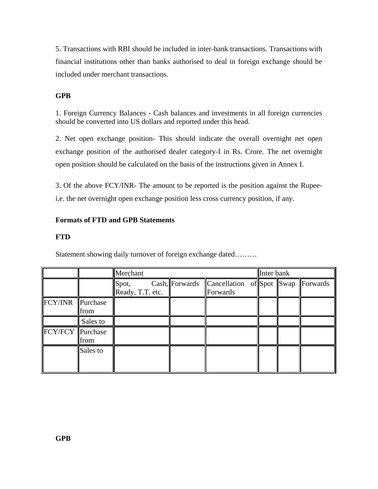5. Transactions with RBI should be included in inter-bank transactions. Transactions with financial institutions other than banks authorised to deal in foreign exchange should be included under merchant transactions.

# **GPB**

1. Foreign Currency Balances - Cash balances and investments in all foreign currencies should be converted into US dollars and reported under this head.

2. Net open exchange position- This should indicate the overall overnight net open exchange position of the authorised dealer category-I in Rs. Crore. The net overnight open position should be calculated on the basis of the instructions given in Annex I.

3. Of the above FCY/INR- The amount to be reported is the position against the Rupeei.e. the net overnight open exchange position less cross currency position, if any.

# **Formats of FTD and GPB Statements**

### **FTD**

Statement showing daily turnover of foreign exchange dated………

|                         |                   | Merchant                  |  |                  |                                       | Inter bank |          |  |
|-------------------------|-------------------|---------------------------|--|------------------|---------------------------------------|------------|----------|--|
|                         |                   | Spot,<br>Ready, T.T. etc. |  | $Cash,$ Forwards | Cancellation of Spot Swap<br>Forwards |            | Forwards |  |
| FCY/INR                 | Purchase<br>lfrom |                           |  |                  |                                       |            |          |  |
|                         | Sales to          |                           |  |                  |                                       |            |          |  |
| <b>FCY/FCY</b> Purchase | from              |                           |  |                  |                                       |            |          |  |
|                         | Sales to          |                           |  |                  |                                       |            |          |  |